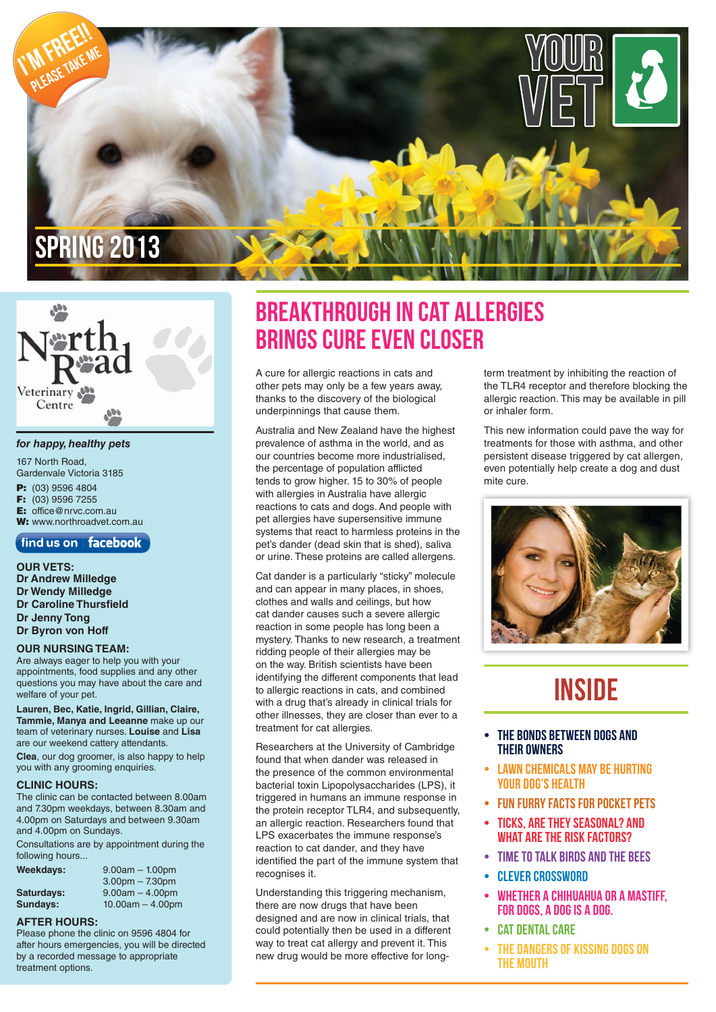



#### *for happy, healthy pets*

167 North Road, Gardenvale Victoria 3185 **P:** (03) 9596 4804<br>**F:** (03) 9596 7255 **F:** (03) 9596 7255 **E:** office@nrvc.com.au

**W:** www.northroadvet.com.au

### find us on | facebook

**OUR VETS: Dr Andrew Milledge Dr Wendy Milledge Dr Caroline Thursfield Dr Jenny Tong Dr Byron von Hoff**

#### **OUR NURSING TEAM:**

Are always eager to help you with your appointments, food supplies and any other questions you may have about the care and welfare of your pet.

**Lauren, Bec, Katie, Ingrid, Gillian, Claire, Tammie, Manya and Leeanne** make up our team of veterinary nurses. **Louise** and **Lisa** are our weekend cattery attendants. **Clea**, our dog groomer, is also happy to help

you with any grooming enquiries.

#### **CLINIC HOURS:**

The clinic can be contacted between 8.00am and 7.30pm weekdays, between 8.30am and 4.00pm on Saturdays and between 9.30am and 4.00pm on Sundays.

Consultations are by appointment during the following hours.

| Weekdays:       | $9.00am - 1.00pm$  |
|-----------------|--------------------|
|                 | $3.00pm - 7.30pm$  |
| Saturdays:      | $9.00am - 4.00pm$  |
| <b>Sundays:</b> | $10.00am - 4.00pm$ |

#### **AFTER HOURS:**

Please phone the clinic on 9596 4804 for after hours emergencies, you will be directed by a recorded message to appropriate treatment options.

### Breakthrough in cat allergies brings cure even closer

A cure for allergic reactions in cats and other pets may only be a few years away, thanks to the discovery of the biological underpinnings that cause them.

Australia and New Zealand have the highest prevalence of asthma in the world, and as our countries become more industrialised, the percentage of population afflicted tends to grow higher. 15 to 30% of people with allergies in Australia have allergic reactions to cats and dogs. And people with pet allergies have supersensitive immune systems that react to harmless proteins in the pet's dander (dead skin that is shed), saliva or urine. These proteins are called allergens.

Cat dander is a particularly "sticky" molecule and can appear in many places, in shoes, clothes and walls and ceilings, but how cat dander causes such a severe allergic reaction in some people has long been a mystery. Thanks to new research, a treatment ridding people of their allergies may be on the way. British scientists have been identifying the different components that lead to allergic reactions in cats, and combined with a drug that's already in clinical trials for other illnesses, they are closer than ever to a treatment for cat allergies.

Researchers at the University of Cambridge found that when dander was released in the presence of the common environmental bacterial toxin Lipopolysaccharides (LPS), it triggered in humans an immune response in the protein receptor TLR4, and subsequently, an allergic reaction. Researchers found that LPS exacerbates the immune response's reaction to cat dander, and they have identified the part of the immune system that recognises it.

Understanding this triggering mechanism, there are now drugs that have been designed and are now in clinical trials, that could potentially then be used in a different way to treat cat allergy and prevent it. This new drug would be more effective for longterm treatment by inhibiting the reaction of the TLR4 receptor and therefore blocking the allergic reaction. This may be available in pill or inhaler form.

This new information could pave the way for treatments for those with asthma, and other persistent disease triggered by cat allergen, even potentially help create a dog and dust mite cure.



## **INSIDE**

- The Bonds between Dogs and their Owners
- **LAWN CHEMICALS MAY BE HURTING** your dog's health
- Fun Furry Facts for Pocket Pets
- Ticks, are they seasonal? And what are the risk factors?
- Time to talk Birds and the Bees
- Clever crossword
- WHETHER A CHIHUAHUA OR A MASTIFF, FOR DOGS, A DOG IS A DOG.
- **CAT DENTAL CARE**
- The Dangers of Kissing dogs on the mouth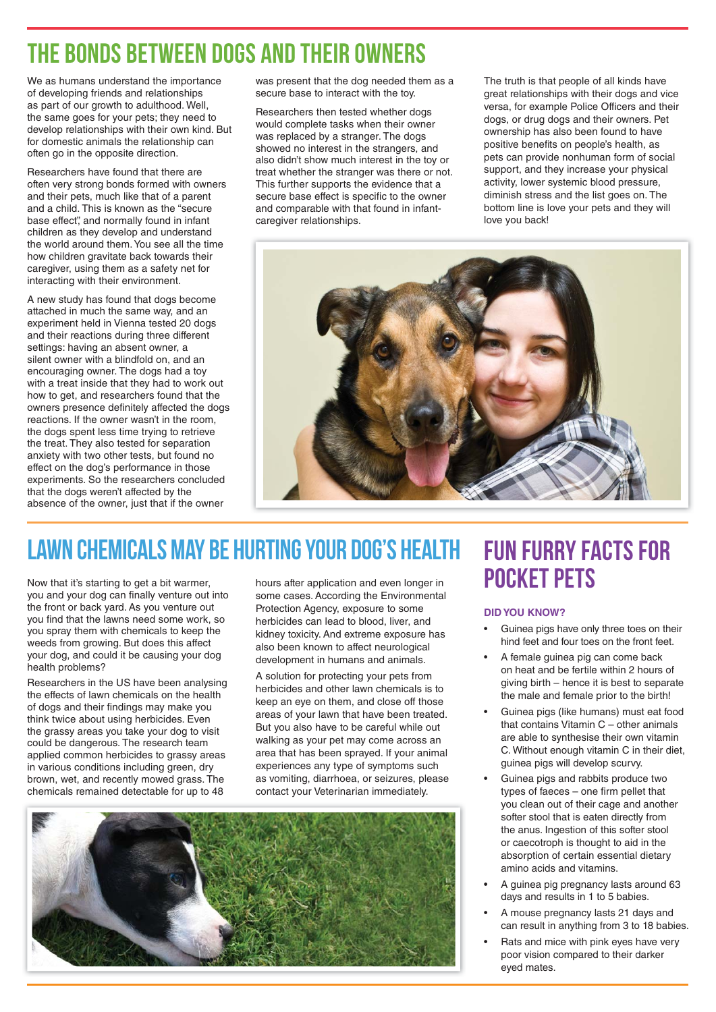### The Bonds between Dogs and their Owners

We as humans understand the importance of developing friends and relationships as part of our growth to adulthood. Well, the same goes for your pets; they need to develop relationships with their own kind. But for domestic animals the relationship can often go in the opposite direction.

Researchers have found that there are often very strong bonds formed with owners and their pets, much like that of a parent and a child. This is known as the "secure base effect", and normally found in infant children as they develop and understand the world around them. You see all the time how children gravitate back towards their caregiver, using them as a safety net for interacting with their environment.

A new study has found that dogs become attached in much the same way, and an experiment held in Vienna tested 20 dogs and their reactions during three different settings: having an absent owner, a silent owner with a blindfold on, and an encouraging owner. The dogs had a toy with a treat inside that they had to work out how to get, and researchers found that the owners presence definitely affected the dogs reactions. If the owner wasn't in the room, the dogs spent less time trying to retrieve the treat. They also tested for separation anxiety with two other tests, but found no effect on the dog's performance in those experiments. So the researchers concluded that the dogs weren't affected by the absence of the owner, just that if the owner

was present that the dog needed them as a secure base to interact with the toy.

Researchers then tested whether dogs would complete tasks when their owner was replaced by a stranger. The dogs showed no interest in the strangers, and also didn't show much interest in the toy or treat whether the stranger was there or not. This further supports the evidence that a secure base effect is specific to the owner and comparable with that found in infantcaregiver relationships.

The truth is that people of all kinds have great relationships with their dogs and vice versa, for example Police Officers and their dogs, or drug dogs and their owners. Pet ownership has also been found to have positive benefits on people's health, as pets can provide nonhuman form of social support, and they increase your physical activity, lower systemic blood pressure, diminish stress and the list goes on. The bottom line is love your pets and they will love you back!



## LAWN CHEMICALS MAY BE HURTING YOUR DOG'S HEALTH FUN FURRY FACTS FOR

Now that it's starting to get a bit warmer, you and your dog can finally venture out into the front or back yard. As you venture out you find that the lawns need some work, so you spray them with chemicals to keep the weeds from growing. But does this affect your dog, and could it be causing your dog health problems?

Researchers in the US have been analysing the effects of lawn chemicals on the health of dogs and their findings may make you think twice about using herbicides. Even the grassy areas you take your dog to visit could be dangerous. The research team applied common herbicides to grassy areas in various conditions including green, dry brown, wet, and recently mowed grass. The chemicals remained detectable for up to 48

hours after application and even longer in some cases. According the Environmental Protection Agency, exposure to some herbicides can lead to blood, liver, and kidney toxicity. And extreme exposure has also been known to affect neurological development in humans and animals.

A solution for protecting your pets from herbicides and other lawn chemicals is to keep an eye on them, and close off those areas of your lawn that have been treated. But you also have to be careful while out walking as your pet may come across an area that has been sprayed. If your animal experiences any type of symptoms such as vomiting, diarrhoea, or seizures, please contact your Veterinarian immediately.



# Pocket Pets

#### **DID YOU KNOW?**

- Guinea pigs have only three toes on their hind feet and four toes on the front feet.
- A female guinea pig can come back on heat and be fertile within 2 hours of giving birth – hence it is best to separate the male and female prior to the birth!
- Guinea pigs (like humans) must eat food that contains Vitamin C – other animals are able to synthesise their own vitamin C. Without enough vitamin C in their diet, guinea pigs will develop scurvy.
- Guinea pigs and rabbits produce two  $types$  of faeces  $-$  one firm pellet that you clean out of their cage and another softer stool that is eaten directly from the anus. Ingestion of this softer stool or caecotroph is thought to aid in the absorption of certain essential dietary amino acids and vitamins.
- A guinea pig pregnancy lasts around 63 days and results in 1 to 5 babies.
- A mouse pregnancy lasts 21 days and can result in anything from 3 to 18 babies.
- Rats and mice with pink eyes have very poor vision compared to their darker eyed mates.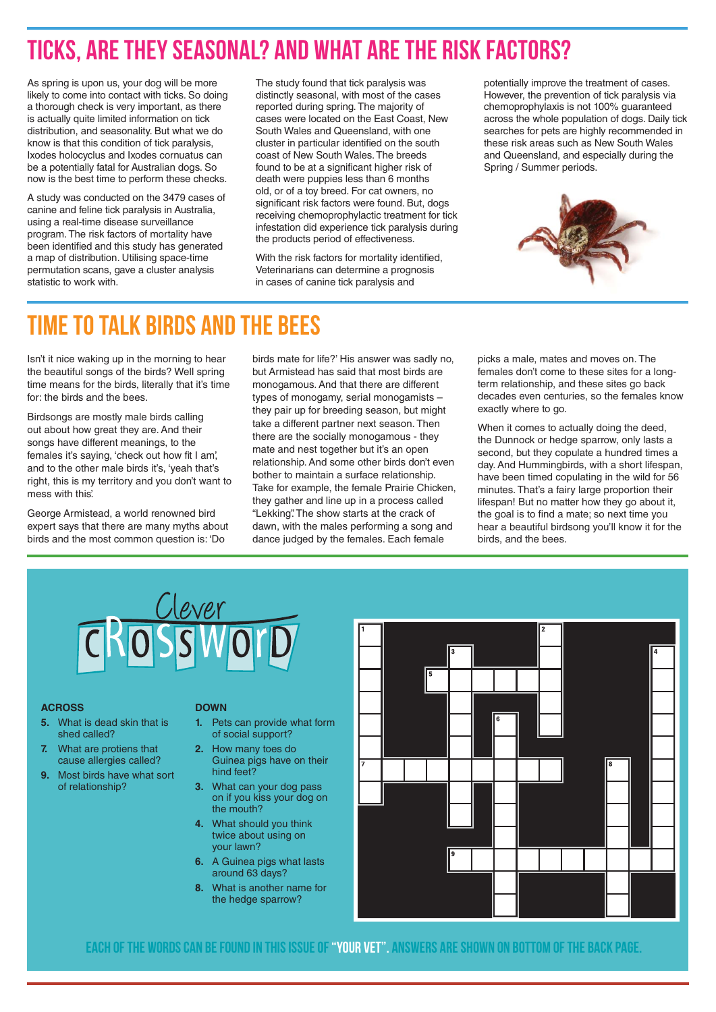### Ticks, are they seasonal? And what are the risk factors?

As spring is upon us, your dog will be more likely to come into contact with ticks. So doing a thorough check is very important, as there is actually quite limited information on tick distribution, and seasonality. But what we do know is that this condition of tick paralysis, Ixodes holocyclus and Ixodes cornuatus can be a potentially fatal for Australian dogs. So now is the best time to perform these checks.

A study was conducted on the 3479 cases of canine and feline tick paralysis in Australia, using a real-time disease surveillance program. The risk factors of mortality have been identified and this study has generated a map of distribution. Utilising space-time permutation scans, gave a cluster analysis statistic to work with.

The study found that tick paralysis was distinctly seasonal, with most of the cases reported during spring. The majority of cases were located on the East Coast, New South Wales and Queensland, with one cluster in particular identified on the south coast of New South Wales. The breeds found to be at a significant higher risk of death were puppies less than 6 months old, or of a toy breed. For cat owners, no significant risk factors were found. But, dogs receiving chemoprophylactic treatment for tick infestation did experience tick paralysis during the products period of effectiveness.

With the risk factors for mortality identified. Veterinarians can determine a prognosis in cases of canine tick paralysis and

potentially improve the treatment of cases. However, the prevention of tick paralysis via chemoprophylaxis is not 100% guaranteed across the whole population of dogs. Daily tick searches for pets are highly recommended in these risk areas such as New South Wales and Queensland, and especially during the Spring / Summer periods.



### Time to talk Birds and the Bees

Isn't it nice waking up in the morning to hear the beautiful songs of the birds? Well spring time means for the birds, literally that it's time for: the birds and the bees.

Birdsongs are mostly male birds calling out about how great they are. And their songs have different meanings, to the females it's saying, 'check out how fit I am', and to the other male birds it's, 'yeah that's right, this is my territory and you don't want to mess with this'.

George Armistead, a world renowned bird expert says that there are many myths about birds and the most common question is: 'Do

birds mate for life?' His answer was sadly no, but Armistead has said that most birds are monogamous. And that there are different types of monogamy, serial monogamists – they pair up for breeding season, but might take a different partner next season. Then there are the socially monogamous - they mate and nest together but it's an open relationship. And some other birds don't even bother to maintain a surface relationship. Take for example, the female Prairie Chicken, they gather and line up in a process called "Lekking". The show starts at the crack of dawn, with the males performing a song and dance judged by the females. Each female

picks a male, mates and moves on. The females don't come to these sites for a longterm relationship, and these sites go back decades even centuries, so the females know exactly where to go.

When it comes to actually doing the deed, the Dunnock or hedge sparrow, only lasts a second, but they copulate a hundred times a day. And Hummingbirds, with a short lifespan, have been timed copulating in the wild for 56 minutes. That's a fairy large proportion their lifespan! But no matter how they go about it, the goal is to find a mate; so next time you hear a beautiful birdsong you'll know it for the birds, and the bees.



#### **ACROSS**

- **5.** What is dead skin that is shed called?
- **7.** What are protiens that cause allergies called?
- **9.** Most birds have what sort of relationship?

#### **DOWN**

- **1.** Pets can provide what form of social support?
- **2.** How many toes do Guinea pigs have on their hind feet?
- **3.** What can your dog pass on if you kiss your dog on the mouth?
- **4.** What should you think twice about using on your lawn?
- **6.** A Guinea pigs what lasts around 63 days?
- **8.** What is another name for the hedge sparrow?



Each of the words can be found in this issue of "Your vet". Answers are shown on bottom of the back page.